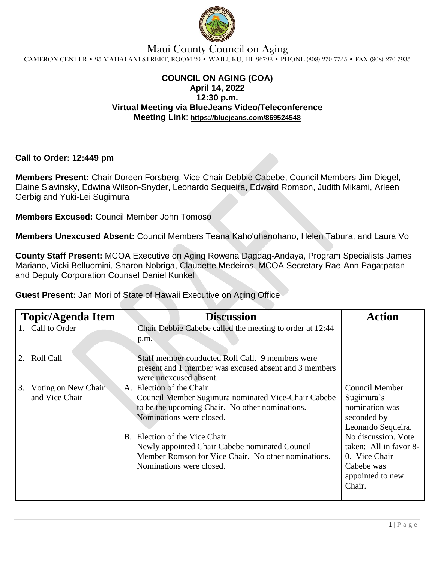

### Maui County Council on Aging CAMERON CENTER • 95 MAHALANI STREET, ROOM 20 • WAILUKU, HI 96793 • PHONE (808) 270-7755 • FAX (808) 270-7935

#### **COUNCIL ON AGING (COA) April 14, 2022 12:30 p.m. Virtual Meeting via BlueJeans Video/Teleconference Meeting Link**: **https://bluejeans.com/869524548**

**Call to Order: 12:449 pm**

**Members Present:** Chair Doreen Forsberg, Vice-Chair Debbie Cabebe, Council Members Jim Diegel, Elaine Slavinsky, Edwina Wilson-Snyder, Leonardo Sequeira, Edward Romson, Judith Mikami, Arleen Gerbig and Yuki-Lei Sugimura

**Members Excused:** Council Member John Tomoso

**Members Unexcused Absent:** Council Members Teana Kaho'ohanohano, Helen Tabura, and Laura Vo

**County Staff Present:** MCOA Executive on Aging Rowena Dagdag-Andaya, Program Specialists James Mariano, Vicki Belluomini, Sharon Nobriga, Claudette Medeiros, MCOA Secretary Rae-Ann Pagatpatan and Deputy Corporation Counsel Daniel Kunkel

**Guest Present:** Jan Mori of State of Hawaii Executive on Aging Office

| <b>Topic/Agenda Item</b>                    | <b>Discussion</b>                                                                                                                                                                                                                                                                                                                    | Action                                                                                                                                                                                                   |
|---------------------------------------------|--------------------------------------------------------------------------------------------------------------------------------------------------------------------------------------------------------------------------------------------------------------------------------------------------------------------------------------|----------------------------------------------------------------------------------------------------------------------------------------------------------------------------------------------------------|
| 1. Call to Order                            | Chair Debbie Cabebe called the meeting to order at 12:44<br>p.m.                                                                                                                                                                                                                                                                     |                                                                                                                                                                                                          |
| <b>Roll Call</b>                            | Staff member conducted Roll Call. 9 members were<br>present and 1 member was excused absent and 3 members<br>were unexcused absent.                                                                                                                                                                                                  |                                                                                                                                                                                                          |
| Voting on New Chair<br>3.<br>and Vice Chair | A. Election of the Chair<br>Council Member Sugimura nominated Vice-Chair Cabebe<br>to be the upcoming Chair. No other nominations.<br>Nominations were closed.<br>B. Election of the Vice Chair<br>Newly appointed Chair Cabebe nominated Council<br>Member Romson for Vice Chair. No other nominations.<br>Nominations were closed. | <b>Council Member</b><br>Sugimura's<br>nomination was<br>seconded by<br>Leonardo Sequeira.<br>No discussion. Vote<br>taken: All in favor 8-<br>0. Vice Chair<br>Cabebe was<br>appointed to new<br>Chair. |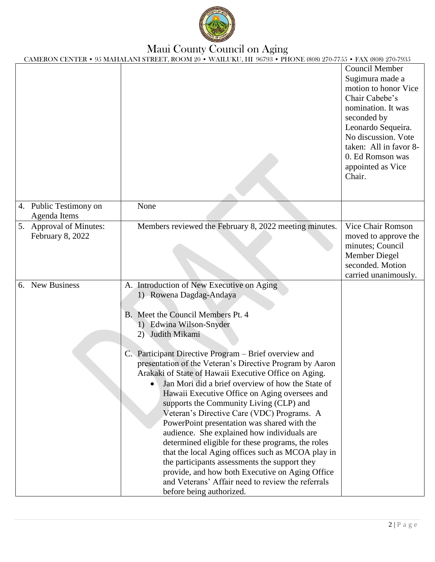

## Maui County Council on Aging

CAMERON CENTER • 95 MAHALANI STREET, ROOM 20 • WAILUKU, HI 96793 • PHONE (808) 270-7755 • FAX (808) 270-7935

|                                             | $\sim$ 30 MIXITINE AND 01 NEET, NOOM 20 $\sim$ WINEONO, 111 30730 $\sim$ 1110 NE (000) 270-7730 $\sim$ 111XX (000) 270-7305                                                                                                                                                                                                                                                                                                                                                                                                                                                                                                                                                                                                                                                                                                                                                                                                        |                                                                                                                                                                                                                                                   |
|---------------------------------------------|------------------------------------------------------------------------------------------------------------------------------------------------------------------------------------------------------------------------------------------------------------------------------------------------------------------------------------------------------------------------------------------------------------------------------------------------------------------------------------------------------------------------------------------------------------------------------------------------------------------------------------------------------------------------------------------------------------------------------------------------------------------------------------------------------------------------------------------------------------------------------------------------------------------------------------|---------------------------------------------------------------------------------------------------------------------------------------------------------------------------------------------------------------------------------------------------|
|                                             |                                                                                                                                                                                                                                                                                                                                                                                                                                                                                                                                                                                                                                                                                                                                                                                                                                                                                                                                    | <b>Council Member</b><br>Sugimura made a<br>motion to honor Vice<br>Chair Cabebe's<br>nomination. It was<br>seconded by<br>Leonardo Sequeira.<br>No discussion. Vote<br>taken: All in favor 8-<br>0. Ed Romson was<br>appointed as Vice<br>Chair. |
| 4. Public Testimony on<br>Agenda Items      | None                                                                                                                                                                                                                                                                                                                                                                                                                                                                                                                                                                                                                                                                                                                                                                                                                                                                                                                               |                                                                                                                                                                                                                                                   |
| 5. Approval of Minutes:<br>February 8, 2022 | Members reviewed the February 8, 2022 meeting minutes.                                                                                                                                                                                                                                                                                                                                                                                                                                                                                                                                                                                                                                                                                                                                                                                                                                                                             | Vice Chair Romson<br>moved to approve the<br>minutes; Council<br>Member Diegel<br>seconded. Motion<br>carried unanimously.                                                                                                                        |
| 6. New Business                             | A. Introduction of New Executive on Aging<br>1) Rowena Dagdag-Andaya<br>B. Meet the Council Members Pt. 4<br>1) Edwina Wilson-Snyder<br>2) Judith Mikami<br>C. Participant Directive Program – Brief overview and<br>presentation of the Veteran's Directive Program by Aaron<br>Arakaki of State of Hawaii Executive Office on Aging.<br>Jan Mori did a brief overview of how the State of<br>Hawaii Executive Office on Aging oversees and<br>supports the Community Living (CLP) and<br>Veteran's Directive Care (VDC) Programs. A<br>PowerPoint presentation was shared with the<br>audience. She explained how individuals are<br>determined eligible for these programs, the roles<br>that the local Aging offices such as MCOA play in<br>the participants assessments the support they<br>provide, and how both Executive on Aging Office<br>and Veterans' Affair need to review the referrals<br>before being authorized. |                                                                                                                                                                                                                                                   |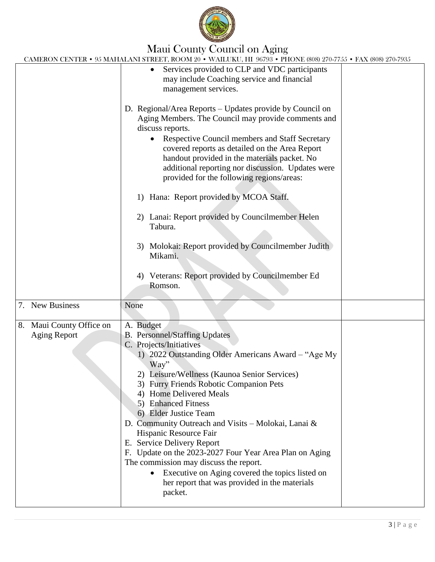

# Maui County Council on Aging

CAMERON CENTER • 95 MAHALANI STREET, ROOM 20 • WAILUKU, HI 96793 • PHONE (808) 270-7755 • FAX (808) 270-7935

| CAMERON CENTER • 95 MAHALANI STREET, ROOM 20 • WAILUKU, HI 96793 • PHONE (808) 270-7755 • FAX (808) 270-7935                                                                                                                                                                                                                                                                                                                                                                                                                          |
|---------------------------------------------------------------------------------------------------------------------------------------------------------------------------------------------------------------------------------------------------------------------------------------------------------------------------------------------------------------------------------------------------------------------------------------------------------------------------------------------------------------------------------------|
| Services provided to CLP and VDC participants<br>may include Coaching service and financial<br>management services.                                                                                                                                                                                                                                                                                                                                                                                                                   |
| D. Regional/Area Reports – Updates provide by Council on<br>Aging Members. The Council may provide comments and<br>discuss reports.<br>Respective Council members and Staff Secretary<br>covered reports as detailed on the Area Report<br>handout provided in the materials packet. No<br>additional reporting nor discussion. Updates were<br>provided for the following regions/areas:                                                                                                                                             |
| Hana: Report provided by MCOA Staff.<br>1)                                                                                                                                                                                                                                                                                                                                                                                                                                                                                            |
| 2) Lanai: Report provided by Councilmember Helen<br>Tabura.                                                                                                                                                                                                                                                                                                                                                                                                                                                                           |
| 3) Molokai: Report provided by Councilmember Judith<br>Mikami.                                                                                                                                                                                                                                                                                                                                                                                                                                                                        |
| Veterans: Report provided by Councilmember Ed<br>4)<br>Romson.                                                                                                                                                                                                                                                                                                                                                                                                                                                                        |
| None                                                                                                                                                                                                                                                                                                                                                                                                                                                                                                                                  |
| A. Budget<br><b>B.</b> Personnel/Staffing Updates<br>C. Projects/Initiatives<br>1) 2022 Outstanding Older Americans Award - "Age My<br>Way"<br>2) Leisure/Wellness (Kaunoa Senior Services)<br>3) Furry Friends Robotic Companion Pets<br>4) Home Delivered Meals<br>5) Enhanced Fitness<br>6) Elder Justice Team<br>D. Community Outreach and Visits - Molokai, Lanai &<br>Hispanic Resource Fair<br>E. Service Delivery Report<br>F. Update on the 2023-2027 Four Year Area Plan on Aging<br>The commission may discuss the report. |
|                                                                                                                                                                                                                                                                                                                                                                                                                                                                                                                                       |